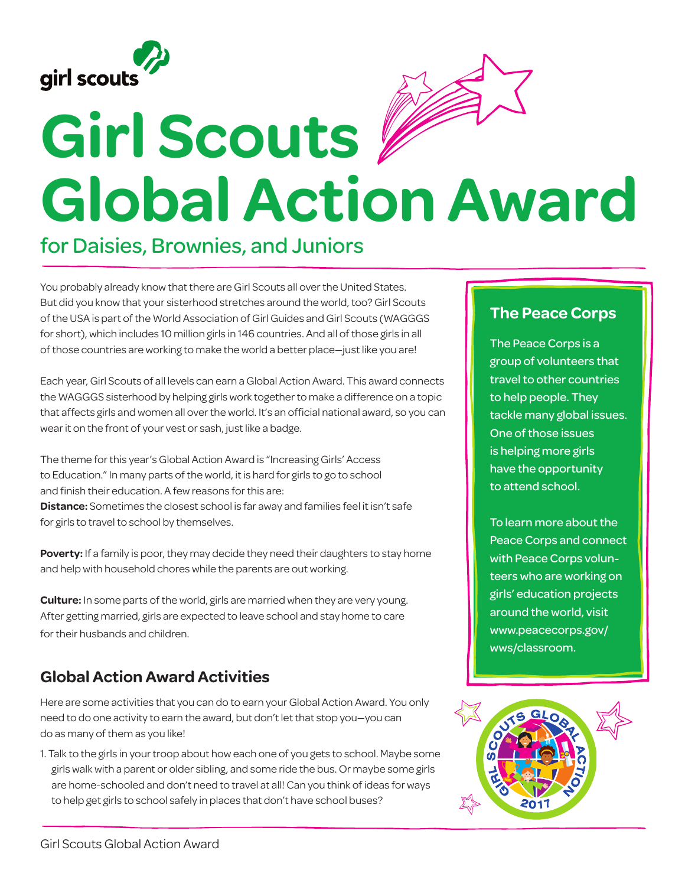



## **Girl Scouts Global Action Award**

## for Daisies, Brownies, and Juniors

You probably already know that there are Girl Scouts all over the United States. But did you know that your sisterhood stretches around the world, too? Girl Scouts of the USA is part of the World Association of Girl Guides and Girl Scouts (WAGGGS for short), which includes 10 million girls in 146 countries. And all of those girls in all of those countries are working to make the world a better place—just like you are!

Each year, Girl Scouts of all levels can earn a Global Action Award. This award connects the WAGGGS sisterhood by helping girls work together to make a difference on a topic that affects girls and women all over the world. It's an official national award, so you can wear it on the front of your vest or sash, just like a badge.

The theme for this year's Global Action Award is "Increasing Girls' Access to Education." In many parts of the world, it is hard for girls to go to school and finish their education. A few reasons for this are: **Distance:** Sometimes the closest school is far away and families feel it isn't safe for girls to travel to school by themselves.

**Poverty:** If a family is poor, they may decide they need their daughters to stay home and help with household chores while the parents are out working.

**Culture:** In some parts of the world, girls are married when they are very young. After getting married, girls are expected to leave school and stay home to care for their husbands and children.

## **Global Action Award Activities**

Here are some activities that you can do to earn your Global Action Award. You only need to do one activity to earn the award, but don't let that stop you—you can do as many of them as you like!

1. Talk to the girls in your troop about how each one of you gets to school. Maybe some girls walk with a parent or older sibling, and some ride the bus. Or maybe some girls are home-schooled and don't need to travel at all! Can you think of ideas for ways to help get girls to school safely in places that don't have school buses?

## **The Peace Corps**

The Peace Corps is a group of volunteers that travel to other countries to help people. They tackle many global issues. One of those issues is helping more girls have the opportunity to attend school.

To learn more about the Peace Corps and connect with Peace Corps volunteers who are working on girls' education projects around the world, visit www.peacecorps.gov/ wws/classroom.